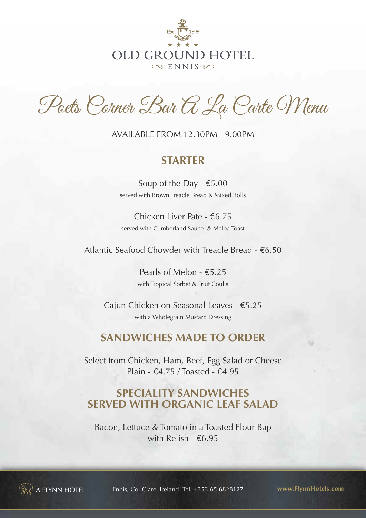

Poets Corner Bar A La Carte Menu

AvAilAble FROM 12.30PM - 9.00PM

### **STARTER**

Soup of the Day  $\epsilon$ 5.00 served with Brown Treacle Bread & Mixed Rolls

Chicken liver Pate - €6.75 served with Cumberland Sauce & Melba Toast

Atlantic Seafood Chowder with Treacle Bread -  $€6.50$ 

Pearls of Melon - €5.25 with Tropical Sorbet & Fruit Coulis

Cajun Chicken on Seasonal leaves - €5.25 with a Wholegrain Mustard Dressing

## **SANDWICHES MADE TO ORDER**

Select from Chicken, Ham, Beef, Egg Salad or Cheese Plain -  $\text{\textsterling}4.75$  / Toasted -  $\text{\textsterling}4.95$ 

# **SPECIALITY SANDWICHES SERVED WITH ORGANIC LEAF SALAD**

Bacon, Lettuce & Tomato in a Toasted Flour Bap with Relish - €6.95



 $\mathbb{R}^3$  a flynn hotel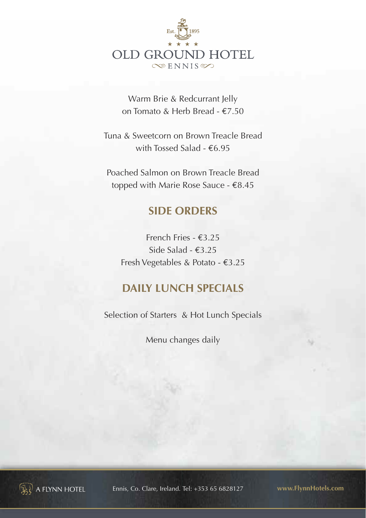

Warm brie & Redcurrant Jelly on Tomato & Herb bread - €7.50

Tuna & Sweetcorn on brown Treacle bread with Tossed Salad - €6.95

Poached Salmon on Brown Treacle Bread topped with Marie Rose Sauce - €8.45

# **SIDE ORDERS**

French Fries - €3.25 Side Salad - €3.25 Fresh vegetables & Potato - €3.25

# **DAILY LUNCH SPECIALS**

Selection of Starters & Hot Lunch Specials

Menu changes daily



**A FLYNN HOTEL**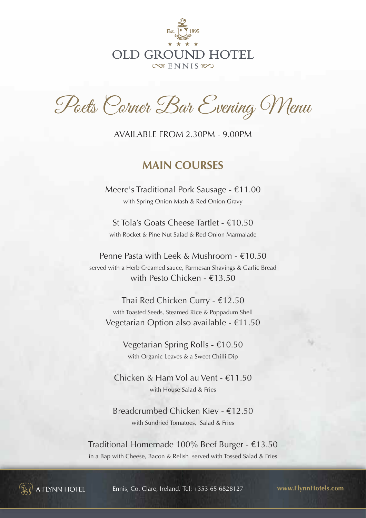

Poets Corner Bar Evening Menu

AvAilAble FROM 2.30PM - 9.00PM

### **MAIN COURSES**

Meere's Traditional Pork Sausage - €11.00 with Spring Onion Mash & Red Onion Gravy

St Tola's Goats Cheese Tartlet - €10.50 with Rocket & Pine Nut Salad & Red Onion Marmalade

Penne Pasta with leek & Mushroom - €10.50 served with a Herb Creamed sauce, Parmesan Shavings & Garlic bread with Pesto Chicken - €13.50

Thai Red Chicken Curry - €12.50 with Toasted Seeds, Steamed Rice & Poppadum Shell vegetarian Option also available - €11.50

> vegetarian Spring Rolls - €10.50 with Organic leaves & a Sweet Chilli Dip

Chicken & Ham vol au vent - €11.50 with House Salad & Fries

breadcrumbed Chicken Kiev - €12.50 with Sundried Tomatoes, Salad & Fries

Traditional Homemade 100% beef burger - €13.50 in a Bap with Cheese, Bacon & Relish served with Tossed Salad & Fries



 $\Omega$  a flynn hotel